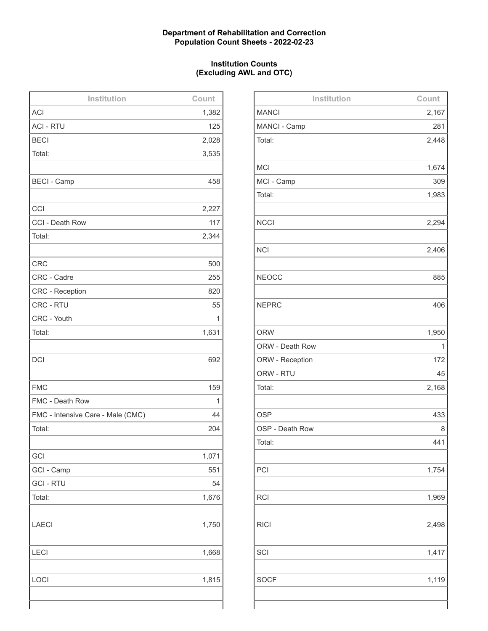# **Department of Rehabilitation and Correction Population Count Sheets - 2022-02-23**

# **Institution Counts (Excluding AWL and OTC)**

| Institution                       | Count |
|-----------------------------------|-------|
| <b>ACI</b>                        | 1,382 |
| <b>ACI - RTU</b>                  | 125   |
| <b>BECI</b>                       | 2,028 |
| Total:                            | 3,535 |
|                                   |       |
| <b>BECI - Camp</b>                | 458   |
|                                   |       |
| CCI                               | 2,227 |
| CCI - Death Row                   | 117   |
| Total:                            | 2,344 |
|                                   |       |
| <b>CRC</b>                        | 500   |
| CRC - Cadre                       | 255   |
| <b>CRC</b> - Reception            | 820   |
| CRC - RTU                         | 55    |
| CRC - Youth                       | 1     |
| Total:                            | 1,631 |
|                                   |       |
| <b>DCI</b>                        | 692   |
|                                   |       |
| <b>FMC</b>                        | 159   |
| FMC - Death Row                   | 1     |
| FMC - Intensive Care - Male (CMC) | 44    |
| Total:                            | 204   |
|                                   |       |
| GCI                               | 1,071 |
| GCI - Camp                        | 551   |
| <b>GCI - RTU</b>                  | 54    |
| Total:                            | 1,676 |
|                                   |       |
| <b>LAECI</b>                      | 1,750 |
|                                   |       |
| <b>LECI</b>                       | 1,668 |
|                                   |       |
| LOCI                              | 1,815 |
|                                   |       |
|                                   |       |

| Institution     | Count |
|-----------------|-------|
| <b>MANCI</b>    | 2,167 |
| MANCI - Camp    | 281   |
| Total:          | 2,448 |
|                 |       |
| <b>MCI</b>      | 1,674 |
| MCI - Camp      | 309   |
| Total:          | 1,983 |
|                 |       |
| <b>NCCI</b>     | 2,294 |
|                 |       |
| <b>NCI</b>      | 2,406 |
|                 |       |
| <b>NEOCC</b>    | 885   |
|                 |       |
| <b>NEPRC</b>    | 406   |
|                 |       |
| <b>ORW</b>      | 1,950 |
| ORW - Death Row | 1     |
| ORW - Reception | 172   |
| ORW - RTU       | 45    |
| Total:          | 2,168 |
|                 |       |
| <b>OSP</b>      | 433   |
| OSP - Death Row | 8     |
| Total:          | 441   |
|                 |       |
| PCI             | 1,754 |
|                 |       |
| <b>RCI</b>      | 1,969 |
|                 |       |
| <b>RICI</b>     | 2,498 |
|                 |       |
| SCI             | 1,417 |
|                 |       |
| <b>SOCF</b>     | 1,119 |
|                 |       |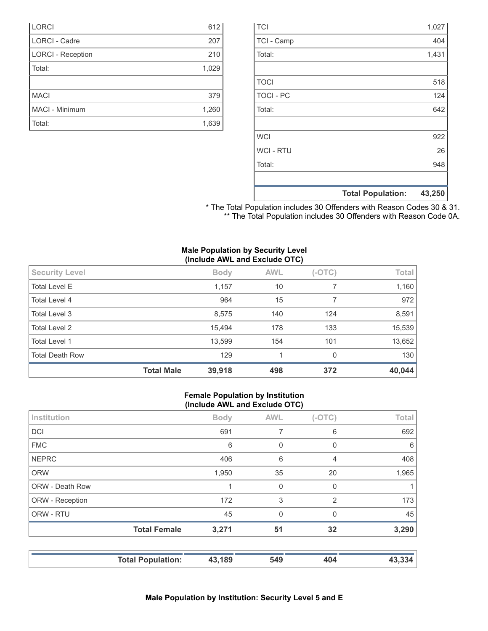|                  | <b>Total Population:</b> | 43,250 |
|------------------|--------------------------|--------|
|                  |                          |        |
| Total:           |                          | 948    |
| <b>WCI - RTU</b> |                          | 26     |
| <b>WCI</b>       |                          | 922    |
|                  |                          |        |
| Total:           |                          | 642    |
| <b>TOCI - PC</b> |                          | 124    |
| <b>TOCI</b>      |                          | 518    |
|                  |                          |        |
| Total:           |                          | 1,431  |
| TCI - Camp       |                          | 404    |
| <b>TCI</b>       |                          | 1,027  |

| * The Total Population includes 30 Offenders with Reason Codes 30 & 31. |  |
|-------------------------------------------------------------------------|--|
| ** The Total Population includes 30 Offenders with Reason Code 0A.      |  |

|  |  | <b>Male Population by Security Level</b> |  |
|--|--|------------------------------------------|--|
|  |  | (Include AWL and Exclude OTC)            |  |

|                        | <b>Total Male</b> | 39,918      | 498        | 372      | 40,044 |
|------------------------|-------------------|-------------|------------|----------|--------|
| <b>Total Death Row</b> |                   | 129         |            | $\Omega$ | 130    |
| Total Level 1          |                   | 13,599      | 154        | 101      | 13,652 |
| <b>Total Level 2</b>   |                   | 15,494      | 178        | 133      | 15,539 |
| Total Level 3          |                   | 8,575       | 140        | 124      | 8,591  |
| Total Level 4          |                   | 964         | 15         |          | 972    |
| <b>Total Level E</b>   |                   | 1,157       | 10         |          | 1,160  |
| <b>Security Level</b>  |                   | <b>Body</b> | <b>AWL</b> | $(-OTC)$ | Total  |

LORCI 612 LORCI - Cadre 207 LORCI - Reception 210 Total: 1,029

MACI 379 MACI - Minimum 1,260 Total: 1,639

#### **Female Population by Institution (Include AWL and Exclude OTC)**

| Institution     |                          | <b>Body</b> | <b>AWL</b>  | $(-OTC)$       | Total  |
|-----------------|--------------------------|-------------|-------------|----------------|--------|
| <b>DCI</b>      |                          | 691         | 7           | 6              | 692    |
| <b>FMC</b>      |                          | 6           | $\mathbf 0$ | 0              | 6      |
| <b>NEPRC</b>    |                          | 406         | 6           | 4              | 408    |
| <b>ORW</b>      |                          | 1,950       | 35          | 20             | 1,965  |
| ORW - Death Row |                          |             | 0           | $\Omega$       |        |
| ORW - Reception |                          | 172         | 3           | $\overline{2}$ | 173    |
| ORW - RTU       |                          | 45          | $\mathbf 0$ | 0              | 45     |
|                 | <b>Total Female</b>      | 3,271       | 51          | 32             | 3,290  |
|                 | <b>Total Population:</b> | 43,189      | 549         | 404            | 43,334 |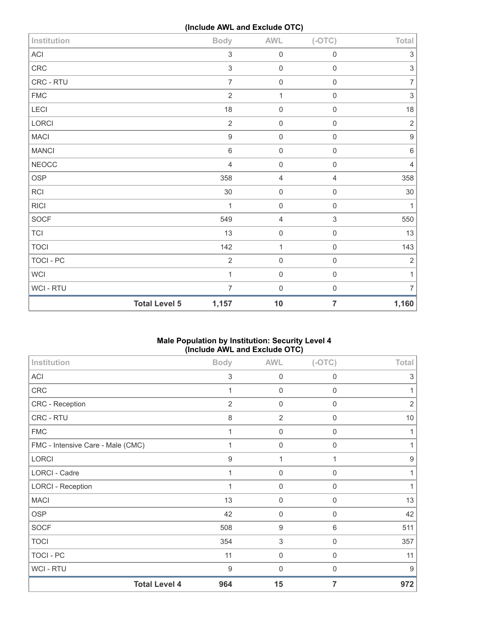**(Include AWL and Exclude OTC)**

| WCI - RTU    | $\overline{7}$   | $\mathbf 0$    | $\mathsf{O}\xspace$ | 7                         |
|--------------|------------------|----------------|---------------------|---------------------------|
| <b>WCI</b>   | $\mathbf{1}$     | $\mathbf 0$    | $\mathsf{O}\xspace$ | 1                         |
| TOCI - PC    | $\overline{2}$   | $\mathbf 0$    | $\mathsf{O}\xspace$ | $\overline{2}$            |
| <b>TOCI</b>  | 142              | 1              | $\mathsf{O}\xspace$ | 143                       |
| <b>TCI</b>   | 13               | $\mathsf 0$    | $\mathsf{O}\xspace$ | 13                        |
| SOCF         | 549              | $\overline{4}$ | 3                   | 550                       |
| <b>RICI</b>  | 1                | $\mathbf 0$    | $\mathsf{O}\xspace$ | 1                         |
| <b>RCI</b>   | 30               | $\mathbf 0$    | $\mathsf{O}\xspace$ | $30\,$                    |
| <b>OSP</b>   | 358              | $\overline{4}$ | $\overline{4}$      | 358                       |
| <b>NEOCC</b> | $\overline{4}$   | $\mathbf 0$    | $\mathsf{O}\xspace$ | 4                         |
| <b>MANCI</b> | 6                | $\mathbf 0$    | $\mathsf{O}\xspace$ | $\,6\,$                   |
| <b>MACI</b>  | $\boldsymbol{9}$ | $\mathbf 0$    | $\mathsf{O}\xspace$ | $\boldsymbol{9}$          |
| LORCI        | $\overline{2}$   | $\mathbf 0$    | $\mathsf{O}\xspace$ | $\sqrt{2}$                |
| LECI         | 18               | $\mathbf 0$    | $\mathsf{O}\xspace$ | 18                        |
| <b>FMC</b>   | $\overline{2}$   | $\mathbf{1}$   | $\mathsf{O}\xspace$ | $\mathfrak{S}$            |
| CRC - RTU    | $\overline{7}$   | $\mathbf 0$    | $\mathsf{O}\xspace$ | $\overline{7}$            |
| CRC          | $\mathfrak{S}$   | $\mathbf 0$    | $\mathsf{O}\xspace$ | $\ensuremath{\mathsf{3}}$ |
| ACI          | $\,$ 3 $\,$      | $\mathbf 0$    | $\mathsf{O}\xspace$ | $\sqrt{3}$                |
| Institution  | <b>Body</b>      | <b>AWL</b>     | $(-OTC)$            | Total                     |

# **Male Population by Institution: Security Level 4 (Include AWL and Exclude OTC)**

| Institution                       | <b>Body</b>      | <b>AWL</b>     | $(-OTC)$       | <b>Total</b>   |
|-----------------------------------|------------------|----------------|----------------|----------------|
| ACI                               | 3                | $\mathbf 0$    | $\mathbf 0$    | 3              |
| CRC                               | 1                | 0              | $\mathbf 0$    | 1              |
| CRC - Reception                   | $\overline{2}$   | 0              | 0              | $\overline{2}$ |
| CRC - RTU                         | 8                | $\overline{2}$ | $\overline{0}$ | $10$           |
| <b>FMC</b>                        | $\mathbf{1}$     | $\mathbf 0$    | $\mathbf 0$    | 1              |
| FMC - Intensive Care - Male (CMC) | $\mathbf 1$      | 0              | $\mathbf 0$    | 1              |
| <b>LORCI</b>                      | 9                | $\mathbf{1}$   | 1              | 9              |
| LORCI - Cadre                     | 1                | 0              | $\overline{0}$ | 1              |
| <b>LORCI - Reception</b>          | 1                | 0              | 0              | 1              |
| <b>MACI</b>                       | 13               | $\mathbf 0$    | $\mathbf 0$    | 13             |
| <b>OSP</b>                        | 42               | $\mathbf 0$    | $\mathbf 0$    | 42             |
| <b>SOCF</b>                       | 508              | 9              | $6\,$          | 511            |
| <b>TOCI</b>                       | 354              | $\,$ 3 $\,$    | $\mathbf 0$    | 357            |
| TOCI - PC                         | 11               | 0              | $\mathbf 0$    | 11             |
| WCI - RTU                         | $\boldsymbol{9}$ | $\mathbf 0$    | 0              | 9              |
| <b>Total Level 4</b>              | 964              | 15             | 7              | 972            |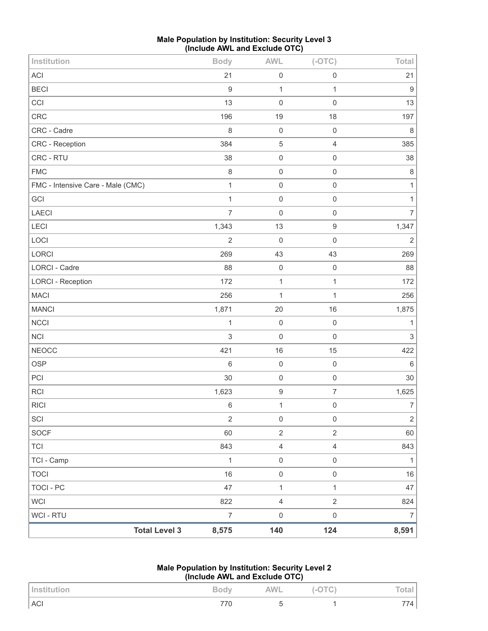| <b>Male Population by Institution: Security Level 3</b> |  |
|---------------------------------------------------------|--|
| (Include AWL and Exclude OTC)                           |  |

| Institution                       |                      | <b>Body</b>      | <b>AWL</b>          | $(-OTC)$         | Total                     |
|-----------------------------------|----------------------|------------------|---------------------|------------------|---------------------------|
| ACI                               |                      | 21               | $\mathbf 0$         | $\mathbf 0$      | 21                        |
| <b>BECI</b>                       |                      | $\overline{9}$   | $\mathbf{1}$        | $\mathbf 1$      | $\boldsymbol{9}$          |
| CCI                               |                      | 13               | $\mathbf 0$         | $\mathbf 0$      | 13                        |
| CRC                               |                      | 196              | 19                  | 18               | 197                       |
| CRC - Cadre                       |                      | 8                | $\mathbf 0$         | $\mathbf 0$      | $\,8\,$                   |
| CRC - Reception                   |                      | 384              | $\sqrt{5}$          | $\sqrt{4}$       | 385                       |
| CRC - RTU                         |                      | 38               | $\mathsf{O}\xspace$ | $\mathbf 0$      | 38                        |
| <b>FMC</b>                        |                      | $\,8\,$          | $\mathbf 0$         | $\mathbf 0$      | $\,8\,$                   |
| FMC - Intensive Care - Male (CMC) |                      | $\mathbf{1}$     | $\mathbf 0$         | $\mathbf 0$      | $\mathbf{1}$              |
| GCI                               |                      | $\mathbf{1}$     | $\mathbf 0$         | $\mathbf 0$      | $\mathbf{1}$              |
| LAECI                             |                      | $\overline{7}$   | $\mathbf 0$         | $\mathbf 0$      | $\overline{7}$            |
| LECI                              |                      | 1,343            | 13                  | $\boldsymbol{9}$ | 1,347                     |
| LOCI                              |                      | $\overline{2}$   | $\mathbf 0$         | $\mathbf 0$      | $\sqrt{2}$                |
| LORCI                             |                      | 269              | 43                  | 43               | 269                       |
| <b>LORCI - Cadre</b>              |                      | 88               | $\mathbf 0$         | $\mathbf 0$      | 88                        |
| <b>LORCI - Reception</b>          |                      | 172              | $\mathbf{1}$        | 1                | 172                       |
| <b>MACI</b>                       |                      | 256              | $\mathbf{1}$        | $\mathbf{1}$     | 256                       |
| <b>MANCI</b>                      |                      | 1,871            | 20                  | 16               | 1,875                     |
| <b>NCCI</b>                       |                      | $\mathbf{1}$     | $\mathbf 0$         | $\mathbf 0$      | $\mathbf{1}$              |
| <b>NCI</b>                        |                      | $\sqrt{3}$       | $\mathbf 0$         | $\mathbf 0$      | $\ensuremath{\mathsf{3}}$ |
| <b>NEOCC</b>                      |                      | 421              | 16                  | 15               | 422                       |
| <b>OSP</b>                        |                      | $\,6\,$          | $\mathbf 0$         | $\mathbf 0$      | $\,6\,$                   |
| PCI                               |                      | 30               | $\mathbf 0$         | $\mathbf 0$      | 30                        |
| RCI                               |                      | 1,623            | $\boldsymbol{9}$    | $\boldsymbol{7}$ | 1,625                     |
| <b>RICI</b>                       |                      | $\,$ 6 $\,$      | $\mathbf 1$         | $\mathbf 0$      | $\overline{7}$            |
| SCI                               |                      | $\sqrt{2}$       | $\mathbf 0$         | $\mathbf 0$      | $\overline{2}$            |
| SOCF                              |                      | 60               | $\sqrt{2}$          | $\overline{2}$   | 60                        |
| <b>TCI</b>                        |                      | 843              | $\sqrt{4}$          | $\sqrt{4}$       | 843                       |
| TCI - Camp                        |                      | $\mathbf{1}$     | $\mathbf 0$         | $\mathbf 0$      | $\mathbf{1}$              |
| <b>TOCI</b>                       |                      | 16               | $\mathbf 0$         | $\mathbf 0$      | 16                        |
| TOCI - PC                         |                      | 47               | $\mathbf 1$         | 1                | 47                        |
| <b>WCI</b>                        |                      | 822              | $\overline{4}$      | $\overline{2}$   | 824                       |
| WCI - RTU                         |                      | $\boldsymbol{7}$ | $\mathbf 0$         | $\mathbf 0$      | $\overline{7}$            |
|                                   | <b>Total Level 3</b> | 8,575            | 140                 | 124              | 8,591                     |

# **Male Population by Institution: Security Level 2 (Include AWL and Exclude OTC)**

| Institution | <b>Body</b> | <b>AWL</b> | $(-OTC)$ | Total. |
|-------------|-------------|------------|----------|--------|
| ACI         | 770         |            |          | 4      |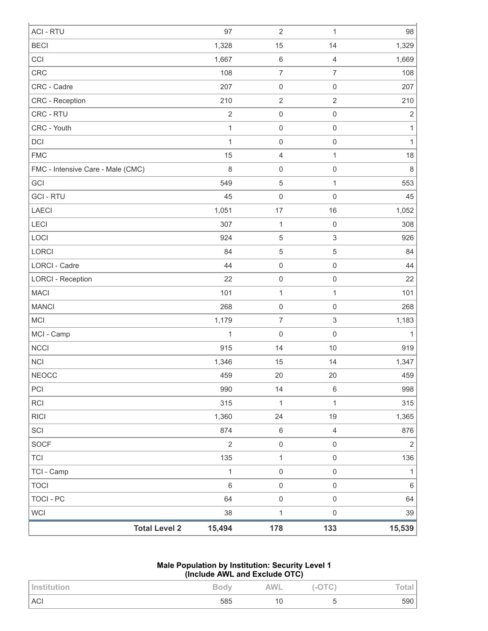|                                   | <b>Total Level 2</b> | 15,494       | 178                      | 133                       | 15,539         |
|-----------------------------------|----------------------|--------------|--------------------------|---------------------------|----------------|
| <b>WCI</b>                        |                      | 38           | $\mathbf{1}$             | $\mathbf 0$               | 39             |
| <b>TOCI - PC</b>                  |                      | 64           | $\mathsf{O}\xspace$      | $\mathsf 0$               | 64             |
| <b>TOCI</b>                       |                      | $6\,$        | $\mathsf{O}\xspace$      | $\mathbf 0$               | 6              |
| TCI - Camp                        |                      | $\mathbf{1}$ | $\mathsf{O}\xspace$      | $\mathsf 0$               | $\mathbf{1}$   |
| TCI                               |                      | 135          | $\mathbf{1}$             | $\,0\,$                   | 136            |
| SOCF                              |                      | $\sqrt{2}$   | $\mathsf{O}\xspace$      | $\,0\,$                   | $\overline{2}$ |
| SCI                               |                      | 874          | $\,6\,$                  | $\sqrt{4}$                | 876            |
| <b>RICI</b>                       |                      | 1,360        | 24                       | 19                        | 1,365          |
| RCI                               |                      | 315          | $\mathbf{1}$             | 1                         | 315            |
| PCI                               |                      | 990          | 14                       | $\,6\,$                   | 998            |
| NEOCC                             |                      | 459          | 20                       | 20                        | 459            |
| <b>NCI</b>                        |                      | 1,346        | 15                       | 14                        | 1,347          |
| <b>NCCI</b>                       |                      | 915          | 14                       | 10                        | 919            |
| MCI - Camp                        |                      | $\mathbf 1$  | $\mathbf 0$              | $\mathbf 0$               | $\mathbf{1}$   |
| <b>MCI</b>                        |                      | 1,179        | $\overline{\mathcal{I}}$ | $\ensuremath{\mathsf{3}}$ | 1,183          |
| <b>MANCI</b>                      |                      | 268          | $\mathbf 0$              | $\boldsymbol{0}$          | 268            |
| <b>MACI</b>                       |                      | 101          | $\mathbf{1}$             | $\mathbf 1$               | 101            |
| <b>LORCI - Reception</b>          |                      | 22           | $\mathbf 0$              | $\mathsf 0$               | 22             |
| <b>LORCI - Cadre</b>              |                      | 44           | $\mathbf 0$              | $\mathsf{O}\xspace$       | 44             |
| <b>LORCI</b>                      |                      | 84           | 5                        | 5                         | 84             |
| LOCI                              |                      | 924          | 5                        | $\ensuremath{\mathsf{3}}$ | 926            |
| LECI                              |                      | 307          | $\mathbf{1}$             | $\boldsymbol{0}$          | 308            |
| LAECI                             |                      | 1,051        | 17                       | $16$                      | 1,052          |
| <b>GCI-RTU</b>                    |                      | 45           | $\mathbf 0$              | $\mathbf 0$               | 45             |
| GCI                               |                      | 549          | $\,$ 5 $\,$              | $\mathbf{1}$              | 553            |
| FMC - Intensive Care - Male (CMC) |                      | 8            | $\mathbf 0$              | $\mathbf 0$               | 8              |
| <b>FMC</b>                        |                      | 15           | $\sqrt{4}$               | $\mathbf{1}$              | 18             |
| DCI                               |                      | 1            | $\mathbf 0$              | $\boldsymbol{0}$          | $\mathbf{1}$   |
| CRC - Youth                       |                      | $\mathbf 1$  | $\mathbf 0$              | $\mathsf 0$               | $\mathbf{1}$   |
| CRC - RTU                         |                      | $\sqrt{2}$   | $\mathbf 0$              | $\mathsf 0$               | $\overline{2}$ |
| CRC - Reception                   |                      | 210          | $\sqrt{2}$               | $\sqrt{2}$                | 210            |
| CRC - Cadre                       |                      | 207          | $\mathbf 0$              | $\boldsymbol{0}$          | 207            |
| <b>CRC</b>                        |                      | 108          | $\overline{7}$           | $\overline{7}$            | 108            |
| CCI                               |                      | 1,667        | $\,6\,$                  | $\overline{4}$            | 1,669          |
| <b>BECI</b>                       |                      | 1,328        | 15                       | 14                        | 1,329          |

#### **Male Population by Institution: Security Level 1 (Include AWL and Exclude OTC)**

| Institution | <b>Body</b> | <b>AWL</b> | v<br>$\sim$ $\cup$ . | Total, |
|-------------|-------------|------------|----------------------|--------|
| <b>ACI</b>  | 585         | ιu         |                      | 590    |